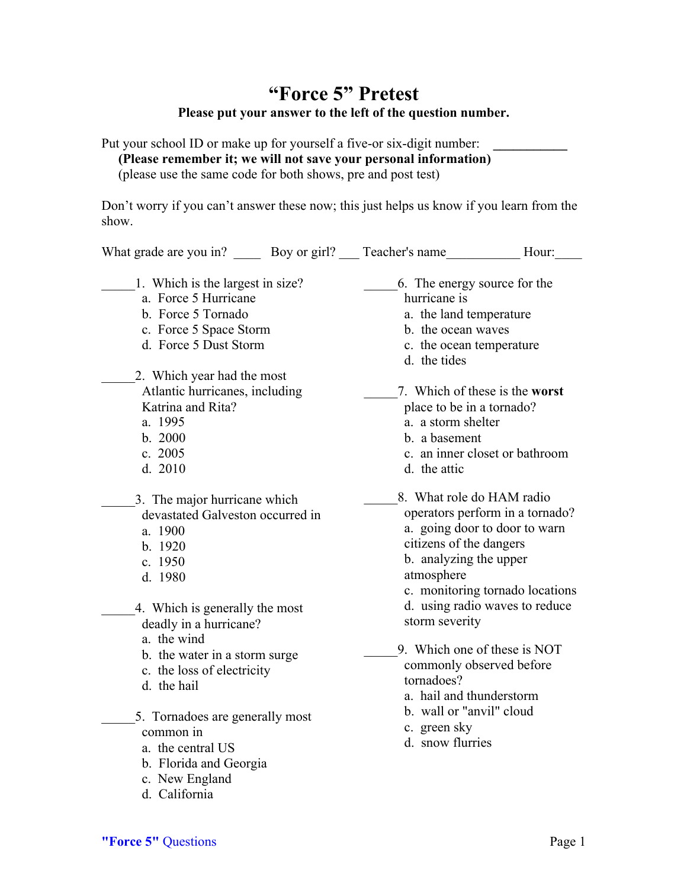## **"Force 5" Pretest Please put your answer to the left of the question number.**

Put your school ID or make up for yourself a five-or six-digit number: **(Please remember it; we will not save your personal information)** (please use the same code for both shows, pre and post test)

Don't worry if you can't answer these now; this just helps us know if you learn from the show.

| What grade are you in? Boy or girl? Teacher's name                                                                                                                                                                                                                                                                                                                                                      |  |                                                                                                                                                                                                                                                                                                                                                               | Hour:                                                            |
|---------------------------------------------------------------------------------------------------------------------------------------------------------------------------------------------------------------------------------------------------------------------------------------------------------------------------------------------------------------------------------------------------------|--|---------------------------------------------------------------------------------------------------------------------------------------------------------------------------------------------------------------------------------------------------------------------------------------------------------------------------------------------------------------|------------------------------------------------------------------|
| 1. Which is the largest in size?<br>a. Force 5 Hurricane<br>b. Force 5 Tornado<br>c. Force 5 Space Storm<br>d. Force 5 Dust Storm                                                                                                                                                                                                                                                                       |  | 6. The energy source for the<br>hurricane is<br>a. the land temperature<br>b. the ocean waves<br>c. the ocean temperature<br>d. the tides                                                                                                                                                                                                                     |                                                                  |
| 2. Which year had the most<br>Atlantic hurricanes, including<br>Katrina and Rita?<br>a. 1995<br>b. 2000<br>c. 2005<br>d. 2010                                                                                                                                                                                                                                                                           |  | place to be in a tornado?<br>a. a storm shelter<br>b. a basement<br>d. the attic                                                                                                                                                                                                                                                                              | 7. Which of these is the worst<br>c. an inner closet or bathroom |
| 3. The major hurricane which<br>devastated Galveston occurred in<br>a. 1900<br>b. 1920<br>c. 1950<br>d. 1980<br>4. Which is generally the most<br>deadly in a hurricane?<br>a. the wind<br>b. the water in a storm surge<br>c. the loss of electricity<br>d. the hail<br>5. Tornadoes are generally most<br>common in<br>a. the central US<br>b. Florida and Georgia<br>c. New England<br>d. California |  | 8. What role do HAM radio<br>operators perform in a tornado?<br>a. going door to door to warn<br>citizens of the dangers<br>b. analyzing the upper<br>atmosphere<br>c. monitoring tornado locations<br>d. using radio waves to reduce<br>storm severity<br>9. Which one of these is NOT<br>commonly observed before<br>tornadoes?<br>a. hail and thunderstorm |                                                                  |
|                                                                                                                                                                                                                                                                                                                                                                                                         |  | b. wall or "anvil" cloud<br>c. green sky<br>d. snow flurries                                                                                                                                                                                                                                                                                                  |                                                                  |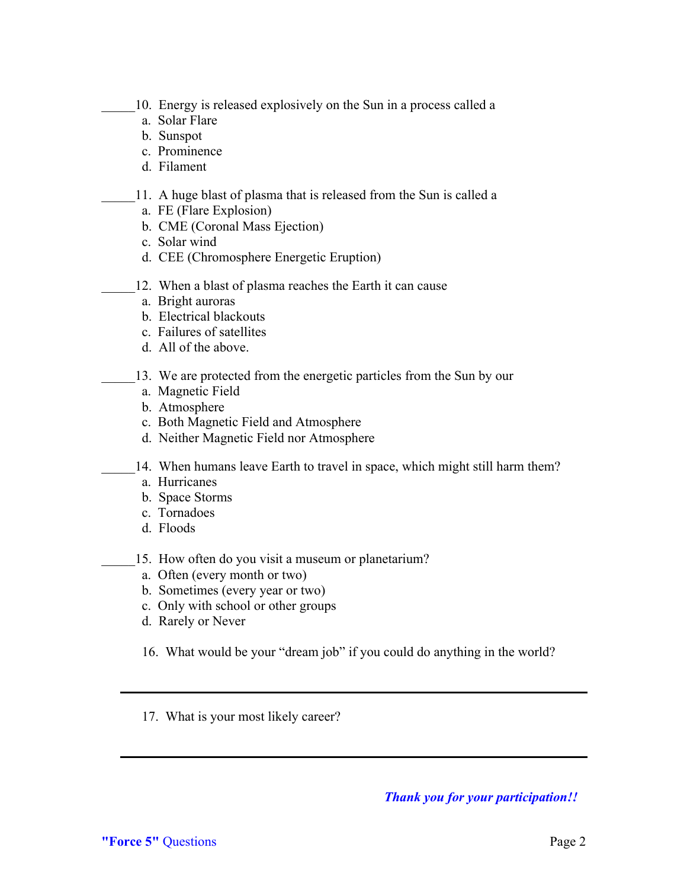- 10. Energy is released explosively on the Sun in a process called a
- a. Solar Flare
- b. Sunspot
- c. Prominence
- d. Filament
- 11. A huge blast of plasma that is released from the Sun is called a
	- a. FE (Flare Explosion)
	- b. CME (Coronal Mass Ejection)
	- c. Solar wind
	- d. CEE (Chromosphere Energetic Eruption)
- 12. When a blast of plasma reaches the Earth it can cause
	- a. Bright auroras
	- b. Electrical blackouts
	- c. Failures of satellites
	- d. All of the above.
	- 13. We are protected from the energetic particles from the Sun by our
		- a. Magnetic Field
		- b. Atmosphere
		- c. Both Magnetic Field and Atmosphere
		- d. Neither Magnetic Field nor Atmosphere
	- 14. When humans leave Earth to travel in space, which might still harm them?
		- a. Hurricanes
		- b. Space Storms
		- c. Tornadoes
		- d. Floods

15. How often do you visit a museum or planetarium?

- a. Often (every month or two)
- b. Sometimes (every year or two)
- c. Only with school or other groups
- d. Rarely or Never

16. What would be your "dream job" if you could do anything in the world?

17. What is your most likely career?

*Thank you for your participation!!*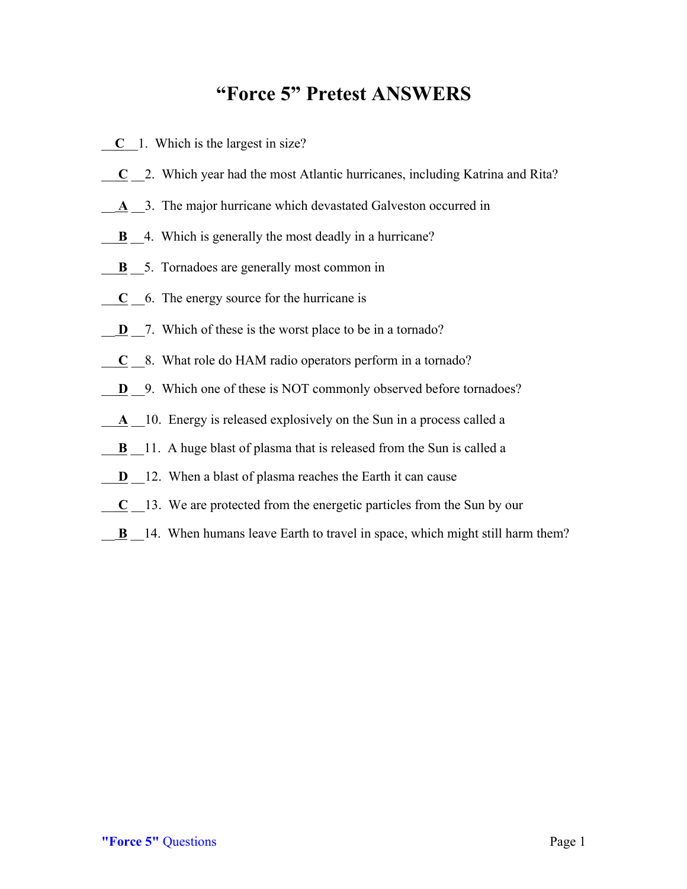## **"Force 5" Pretest ANSWERS**

- \_\_**C**\_\_1. Which is the largest in size?
- \_\_ **C** \_\_2. Which year had the most Atlantic hurricanes, including Katrina and Rita?
- A 2. The major hurricane which devastated Galveston occurred in
- **B** 4. Which is generally the most deadly in a hurricane?
- **B**  $\overline{\phantom{a}}$  5. Tornadoes are generally most common in
- \_\_ **C** \_\_6. The energy source for the hurricane is
- **D**  $\overline{a}$ . Which of these is the worst place to be in a tornado?
- \_\_ **C** \_\_8. What role do HAM radio operators perform in a tornado?
- **D** 9. Which one of these is NOT commonly observed before tornadoes?
- A 10. Energy is released explosively on the Sun in a process called a
- **B** 11. A huge blast of plasma that is released from the Sun is called a
- **D** <sup>12</sup>. When a blast of plasma reaches the Earth it can cause
- \_\_ **C** \_\_13. We are protected from the energetic particles from the Sun by our
- **B** 14. When humans leave Earth to travel in space, which might still harm them?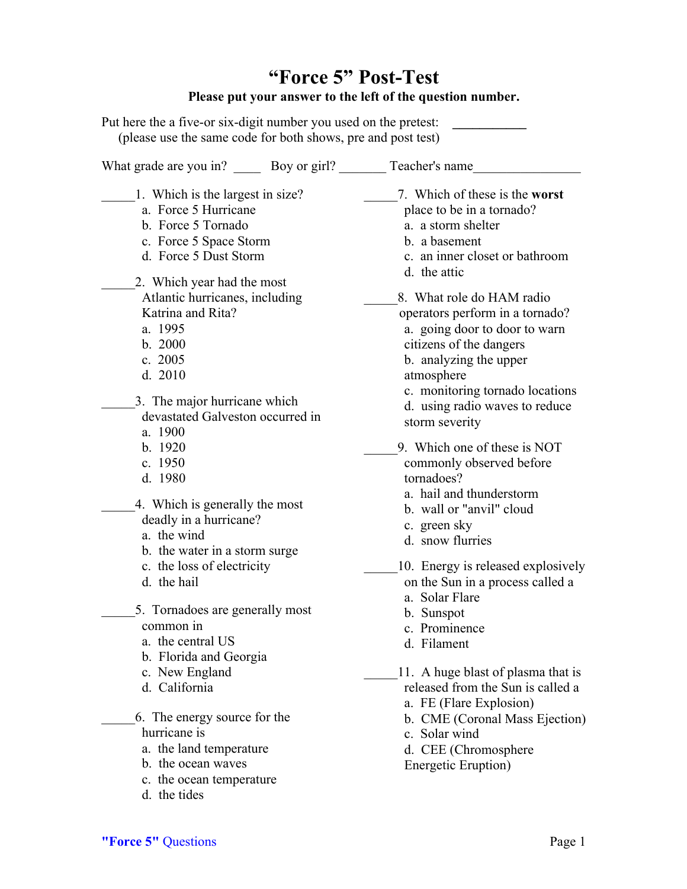## **"Force 5" Post-Test Please put your answer to the left of the question number.**

Put here the a five-or six-digit number you used on the pretest: \_\_\_\_\_\_\_\_\_\_\_\_\_\_\_ (please use the same code for both shows, pre and post test)

| What grade are you in? _______ Boy or girl? _______                                                                                       | Teacher's name                                                                                                            |
|-------------------------------------------------------------------------------------------------------------------------------------------|---------------------------------------------------------------------------------------------------------------------------|
| 1. Which is the largest in size?                                                                                                          | 7. Which of these is the worst                                                                                            |
| a. Force 5 Hurricane                                                                                                                      | place to be in a tornado?                                                                                                 |
| b. Force 5 Tornado                                                                                                                        | a. a storm shelter                                                                                                        |
| c. Force 5 Space Storm                                                                                                                    | b. a basement                                                                                                             |
| d. Force 5 Dust Storm                                                                                                                     | c. an inner closet or bathroom                                                                                            |
| 2. Which year had the most                                                                                                                | d. the attic                                                                                                              |
| Atlantic hurricanes, including                                                                                                            | 8. What role do HAM radio                                                                                                 |
| Katrina and Rita?                                                                                                                         | operators perform in a tornado?                                                                                           |
| a. 1995                                                                                                                                   | a. going door to door to warn                                                                                             |
| b. 2000                                                                                                                                   | citizens of the dangers                                                                                                   |
| c. $2005$                                                                                                                                 | b. analyzing the upper                                                                                                    |
| d. 2010                                                                                                                                   | atmosphere                                                                                                                |
| 3. The major hurricane which                                                                                                              | c. monitoring tornado locations                                                                                           |
| devastated Galveston occurred in                                                                                                          | d. using radio waves to reduce                                                                                            |
| a. 1900                                                                                                                                   | storm severity                                                                                                            |
| b. 1920                                                                                                                                   | 9. Which one of these is NOT                                                                                              |
| c. 1950                                                                                                                                   | commonly observed before                                                                                                  |
| d. 1980                                                                                                                                   | tornadoes?                                                                                                                |
| 4. Which is generally the most                                                                                                            | a. hail and thunderstorm                                                                                                  |
| deadly in a hurricane?                                                                                                                    | b. wall or "anvil" cloud                                                                                                  |
| a. the wind                                                                                                                               | c. green sky                                                                                                              |
| b. the water in a storm surge                                                                                                             | d. snow flurries                                                                                                          |
| c. the loss of electricity                                                                                                                | 10. Energy is released explosively                                                                                        |
| d. the hail                                                                                                                               | on the Sun in a process called a                                                                                          |
| 5. Tornadoes are generally most                                                                                                           | a. Solar Flare                                                                                                            |
| common in                                                                                                                                 | b. Sunspot                                                                                                                |
| a. the central US                                                                                                                         | c. Prominence                                                                                                             |
| b. Florida and Georgia                                                                                                                    | d. Filament                                                                                                               |
| c. New England                                                                                                                            | 11. A huge blast of plasma that is                                                                                        |
| d. California                                                                                                                             | released from the Sun is called a                                                                                         |
| 6. The energy source for the<br>hurricane is<br>a. the land temperature<br>b. the ocean waves<br>c. the ocean temperature<br>d. the tides | a. FE (Flare Explosion)<br>b. CME (Coronal Mass Ejection)<br>c. Solar wind<br>d. CEE (Chromosphere<br>Energetic Eruption) |